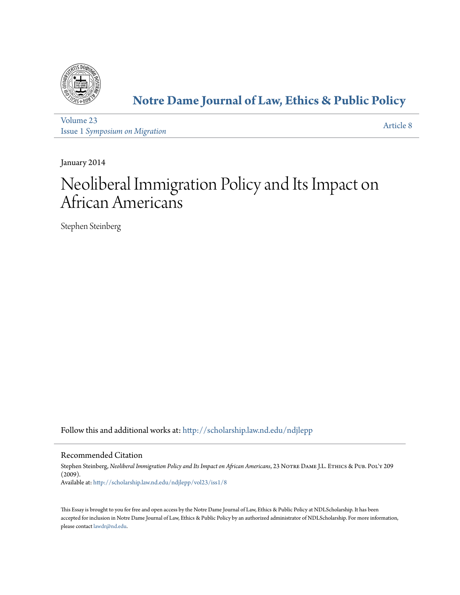

# **[Notre Dame Journal of Law, Ethics & Public Policy](http://scholarship.law.nd.edu/ndjlepp?utm_source=scholarship.law.nd.edu%2Fndjlepp%2Fvol23%2Fiss1%2F8&utm_medium=PDF&utm_campaign=PDFCoverPages)**

[Volume 23](http://scholarship.law.nd.edu/ndjlepp/vol23?utm_source=scholarship.law.nd.edu%2Fndjlepp%2Fvol23%2Fiss1%2F8&utm_medium=PDF&utm_campaign=PDFCoverPages) Issue 1 *[Symposium on Migration](http://scholarship.law.nd.edu/ndjlepp/vol23/iss1?utm_source=scholarship.law.nd.edu%2Fndjlepp%2Fvol23%2Fiss1%2F8&utm_medium=PDF&utm_campaign=PDFCoverPages)*

[Article 8](http://scholarship.law.nd.edu/ndjlepp/vol23/iss1/8?utm_source=scholarship.law.nd.edu%2Fndjlepp%2Fvol23%2Fiss1%2F8&utm_medium=PDF&utm_campaign=PDFCoverPages)

January 2014

# Neoliberal Immigration Policy and Its Impact on African Americans

Stephen Steinberg

Follow this and additional works at: [http://scholarship.law.nd.edu/ndjlepp](http://scholarship.law.nd.edu/ndjlepp?utm_source=scholarship.law.nd.edu%2Fndjlepp%2Fvol23%2Fiss1%2F8&utm_medium=PDF&utm_campaign=PDFCoverPages)

### Recommended Citation

Stephen Steinberg, *Neoliberal Immigration Policy and Its Impact on African Americans*, 23 NOTRE DAME J.L. ETHICS & PUB. POL'Y 209 (2009). Available at: [http://scholarship.law.nd.edu/ndjlepp/vol23/iss1/8](http://scholarship.law.nd.edu/ndjlepp/vol23/iss1/8?utm_source=scholarship.law.nd.edu%2Fndjlepp%2Fvol23%2Fiss1%2F8&utm_medium=PDF&utm_campaign=PDFCoverPages)

This Essay is brought to you for free and open access by the Notre Dame Journal of Law, Ethics & Public Policy at NDLScholarship. It has been accepted for inclusion in Notre Dame Journal of Law, Ethics & Public Policy by an authorized administrator of NDLScholarship. For more information, please contact [lawdr@nd.edu](mailto:lawdr@nd.edu).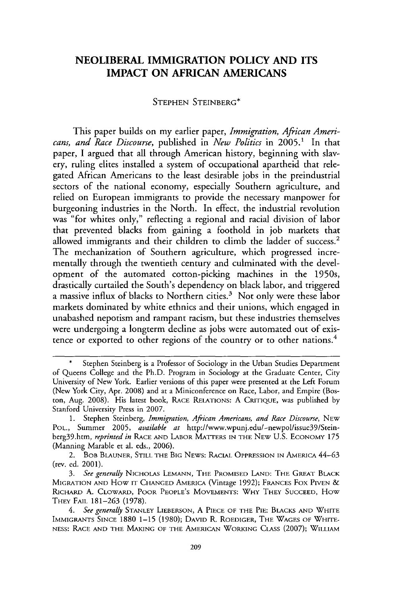## NEOLIBERAL IMMIGRATION **POLICY AND ITS IMPACT ON AFRICAN AMERICANS**

#### STEPHEN STEINBERG\*

This paper builds on my earlier paper, *Immigration, African Americans, and Race Discourse,* published in *New Politics* in 2005.1 In that paper, I argued that all through American history, beginning with slavery, ruling elites installed a system of occupational apartheid that relegated African Americans to the least desirable jobs in the preindustrial sectors of the national economy, especially Southern agriculture, and relied on European immigrants to provide the necessary manpower for burgeoning industries in the North. In effect, the industrial revolution was "for whites only," reflecting a regional and racial division of labor that prevented blacks from gaining a foothold in job markets that allowed immigrants and their children to climb the ladder of success.<sup>2</sup> The mechanization of Southern agriculture, which progressed incrementally through the twentieth century and culminated with the development of the automated cotton-picking machines in the 1950s, drastically curtailed the South's dependency on black labor, and triggered a massive influx of blacks to Northern cities.<sup>3</sup> Not only were these labor markets dominated by white ethnics and their unions, which engaged in unabashed nepotism and rampant racism, but these industries themselves were undergoing a longterm decline as jobs were automated out of existence or exported to other regions of the country or to other nations.<sup>4</sup>

Stephen Steinberg is a Professor of Sociology in the Urban Studies Department of Queens College and the Ph.D. Program in Sociology at the Graduate Center, City University of New York. Earlier versions of this paper were presented at the Left Forum (New York City, Apr. 2008) and at a Miniconference on Race, Labor, and Empire (Boston, Aug. 2008). His latest book, RACE RELATIONS: A CRITIQUE, was published by Stanford University Press in 2007.

<sup>1.</sup> Stephen Steinberg, *Immigration, African Americans, and Race Discourse,* NEW POL., Summer 2005, *available at* http://www.wpunj.edu/-newpol/issue39/Steinberg39.htm, *reprinted in* RACE AND LABOR MATTERS IN THE NEW U.S. ECONOMY **175** (Manning Marable et **al.** eds., 2006).

<sup>2.</sup> BOB BLAUNER, STILL THE BIG NEWS: RACIAL OPPRESSION IN AMERICA 44-63 (rev. ed. 2001).

*<sup>3.</sup> See generally* NICHOLAS LEMANN, THE PROMISED LAND: THE GREAT BLACK MIGRATION AND HOW IT CHANGED AMERICA (Vintage 1992); FRANCES Fox PIVEN & RICHARD A. CLOWARD, POOR PEOPLE'S **MOVEMENTS:** WHY THEY SUCCEED, HOW THEY FAIL 181-263 (1978).

*<sup>4.</sup> See generally* STANLEY LIEBERSON, A PIECE OF THE PIE: BLACKS AND WHITE IMMIGRANTS SINCE 1880 1-15 (1980); DAVID R. ROEDIGER, THE WAGES OF WHITE-NESS: RACE AND THE MAKING OF THE AMERICAN WORKING CLASS (2007); WILLIAM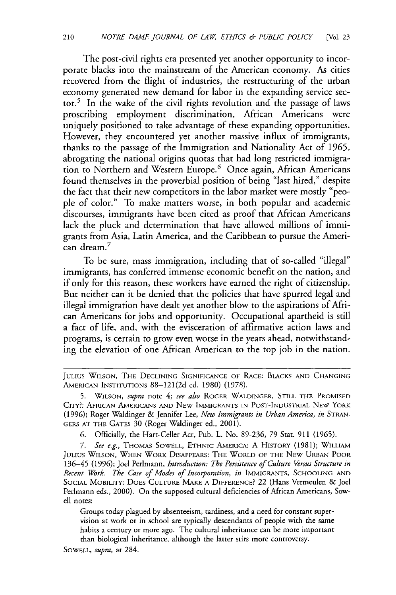The post-civil rights era presented yet another opportunity to incorporate blacks into the mainstream of the American economy. As cities recovered from the flight of industries, the restructuring of the urban economy generated new demand for labor in the expanding service sector.5 In the wake of the civil rights revolution and the passage of laws proscribing employment discrimination, African Americans were uniquely positioned to take advantage of these expanding opportunities. However, they encountered yet another massive influx of immigrants, thanks to the passage of the Immigration and Nationality Act of 1965, abrogating the national origins quotas that had long restricted immigration to Northern and Western Europe.<sup>6</sup> Once again, African Americans found themselves in the proverbial position of being "last hired," despite the fact that their new competitors in the labor market were mostly "people of color." To make matters worse, in both popular and academic discourses, immigrants have been cited as proof that African Americans lack the pluck and determination that have allowed millions of immigrants from Asia, Latin America, and the Caribbean to pursue the American dream. $^7$ 

To be sure, mass immigration, including that of so-called "illegal" immigrants, has conferred immense economic benefit on the nation, and if only for this reason, these workers have earned the right of citizenship. But neither can it be denied that the policies that have spurred legal and illegal immigration have dealt yet another blow to the aspirations of African Americans for jobs and opportunity. Occupational apartheid is still a fact of life, and, with the evisceration of affirmative action laws and programs, is certain to grow even worse in the years ahead, notwithstanding the elevation of one African American to the top job in the nation.

Groups today plagued by absenteeism, tardiness, and a need for constant supervision at work or in school are typically descendants of people with the same habits a century or more ago. The cultural inheritance can be more important than biological inheritance, although the latter stirs more controversy.

SOWELL, *supra,* at 284.

**JULIUS** WILSON, THE DECLINING **SIGNIFICANCE OF** RACE: BLACKS **AND CHANGING AMERICAN** INSTITUTIONS 88-121(2d ed. 1980) (1978).

**<sup>5.</sup> WILSON,** *supra* note 4; *see also* ROGER WALDINGER, **STILL** THE PROMISED CITY?: **AFRICAN AMERICANS** AND **NEW** IMMIGRANTS IN POST-INDUSTRIAL NEW YORK (1996); Roger Waldinger & Jennifer Lee, *New Immigrants in Urban America, in* STRAN-GERS **AT** THE GATES 30 (Roger Waldinger ed., 2001).

**<sup>6.</sup>** Officially, the Hart-Celler Act, Pub. L. No. 89-236, 79 Stat. 911 (1965).

*<sup>7.</sup> See e.g.,* **THOMAS** SOWELL, ETHNIC AMERICA: A HISTORY (1981); WILLIAM **JULIUS WILSON, WHEN** WORK DISAPPEARS: THE WORLD OF THE **NEW URBAN** POOR **136-45** (1996); Joel Perlmann, *Introduction: The Persistence of Culture Versus Structure in Recent Work. The Case of Modes of Incorporation, in* IMMIGRANTS, SCHOOLING **AND SOCIAL** MOBILITY: **DOES CULTURE** MAKE **A** DIFFERENCE? 22 (Hans Vermeulen & Joel Perlmann eds., 2000). On the supposed cultural deficiencies of African Americans, Sowell notes: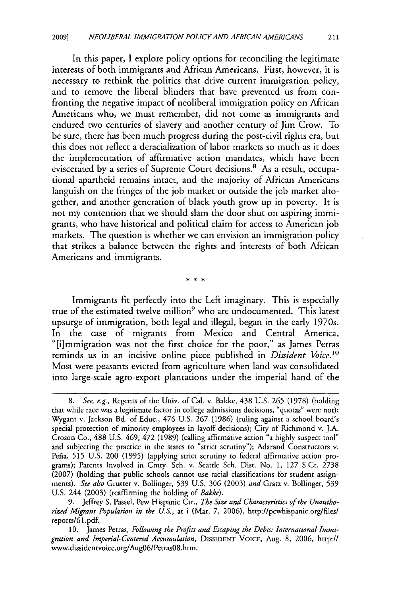In this paper, **I** explore policy options for reconciling the legitimate interests of both immigrants and African Americans. First, however, it is necessary to rethink the politics that drive current immigration policy, and to remove the liberal blinders that have prevented us from confronting the negative impact of neoliberal immigration policy on African Americans who, we must remember, did not come as immigrants and endured two centuries of slavery and another century of Jim Crow. To be sure, there has been much progress during the post-civil rights era, but this does not reflect a deracialization of labor markets so much as it does the implementation of affirmative action mandates, which have been eviscerated by a series of Supreme Court decisions.<sup>8</sup> As a result, occupational apartheid remains intact, and the majority of African Americans languish on the fringes of the job market or outside the **job** market altogether, and another generation of black youth grow up in poverty. It **is** not my contention that we should slam the door shut on aspiring immigrants, who have historical and political claim for access to American **job** markets. The question is whether we can envision an immigration policy that strikes a balance between the rights and interests of both African Americans and immigrants.

Immigrants fit perfectly into the Left imaginary. This is especially true of the estimated twelve million<sup>9</sup> who are undocumented. This latest upsurge of immigration, both legal and illegal, began in the early 1970s. In the case of migrants from Mexico and Central America, "[i]mmigration was not the first choice for the poor," as James Petras reminds us in an incisive online piece published in *Dissident Voice.<sup>1</sup> "* Most were peasants evicted from agriculture when land was consolidated into large-scale agro-export plantations under the imperial hand of the

*<sup>8.</sup>* See, e.g., Regents of the Univ. of Cal. v. Bakke, 438 U.S. **265** (1978) (holding that while race was a legitimate factor in college admissions decisions, 'quotas" were not); Wygant v. Jackson Bd. of Educ., 476 U.S. 267 (1986) (ruling against a school board's special protection of minority employees in layoff decisions); City of Richmond v. J.A. Croson Co., 488 U.S. 469, 472 (1989) (calling affirmative action "a highly suspect tool" and subjecting the practice in the states to "strict scrutiny"); Adarand Constructors v. Pefia, **515** U.S. 200 (1995) (applying strict scrutiny to federal affirmative action programs); Parents Involved in Cmty. Sch. v. Seattle Sch. Dist. No. **1,** 127 S.Ct. 2738 (2007) (holding that public schools cannot use racial classifications for student assignments). *See also* Grutter v. Bollinger, **539** U.S. **306** (2003) *and* Gratz v. Bollinger, **539** U.S. 244 (2003) (reaffirming the holding of *Bakke).*

**<sup>9.</sup>** Jeffrey S. Passel, Pew Hispanic Ctr., *The Size and Characteristics of the Unauthorized Migrant Population in the U.S.,* at i (Mar. **7,** 2006), http://pewhispanic.org/files/ reports/61 .pdf.

<sup>10.</sup> James Petras, *Following the Profits and Escaping the Debts: International Immigration and Imperial-Centered Accumulation,* DISSIDENT VOICE, Aug. **8, 2006,** http:// www.dissidenrvoice.org/Aug06/PetrasO8.htm.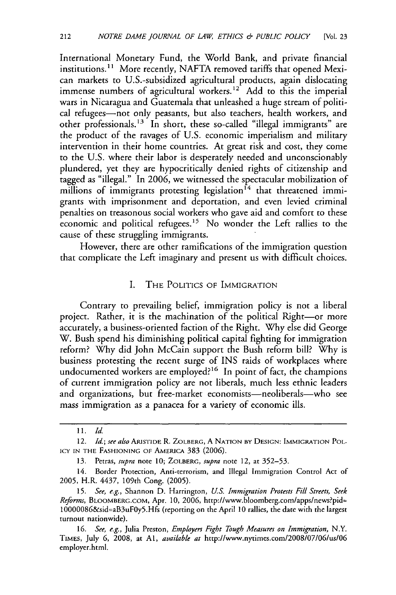International Monetary Fund, the World Bank, and private financial institutions.<sup>11</sup> More recently, NAFTA removed tariffs that opened Mexican markets to U.S.-subsidized agricultural products, again dislocating immense numbers of agricultural workers.<sup>12</sup> Add to this the imperial wars in Nicaragua and Guatemala that unleashed a huge stream of political refugees-not only peasants, but also teachers, health workers, and other professionals.<sup>13</sup> In short, these so-called "illegal immigrants" are the product of the ravages of U.S. economic imperialism and military intervention in their home countries. At great risk and cost, they come to the U.S. where their labor is desperately needed and unconscionably plundered, yet they are hypocritically denied rights of citizenship and tagged as "illegal." In 2006, we witnessed the spectacular mobilization of millions of immigrants protesting legislation<sup>14</sup> that threatened immigrants with imprisonment and deportation, and even levied criminal penalties on treasonous social workers who gave aid and comfort to these economic and political refugees.<sup>15</sup> No wonder the Left rallies to the cause of these struggling immigrants.

However, there are other ramifications of the immigration question that complicate the Left imaginary and present us with difficult choices.

#### I. THE POLITICS OF IMMIGRATION

Contrary to prevailing belief, immigration policy is not a liberal project. Rather, it is the machination of the political Right-or more accurately, a business-oriented faction of the Right. Why else did George W. Bush spend his diminishing political capital fighting for immigration reform? Why did John McCain support the Bush reform bill? Why is business protesting the recent surge of INS raids of workplaces where undocumented workers are employed?<sup>16</sup> In point of fact, the champions of current immigration policy are not liberals, much less ethnic leaders and organizations, but free-market economists-neoliberals-who see mass immigration as a panacea for a variety of economic ills.

<sup>11.</sup> *Id.*

<sup>12.</sup> *Id.; see also* ARISTIDE R. ZOLBERG, A **NATION** BY **DESIGN:** IMMIGRATION POL-ICY IN **THE FASHIONING OF AMERICA** 383 (2006).

<sup>13.</sup> Petras, *supra* note **10;** ZOLBERG, *supra* note 12, at 352-53.

<sup>14.</sup> Border Protection, Anti-terrorism, and Illegal Immigration Control Act of **2005,** H.R. 4437, 109th Cong. (2005).

**<sup>15.</sup>** *See, e.g.,* Shannon D. Harrington, *U.S. Immigration Protests Fill Streets, Seek Reforms,* BLOOMBERG.COM, Apr. **10,** 2006, http://www.bloomberg.com/apps/news?pid= 10000086&sid=aB3uFOy5.Hfs (reporting on the April 10 rallies, the date with the largest turnout nationwide).

**<sup>16.</sup>** *See, e.g.,* Julia Preston, *Employers Fight Tough Measures on Immigration,* N.Y. TIMES, July **6,** 2008, at **Al,** *available at* http://www.nytimes.com/2008/07/06/us/06 employer.html.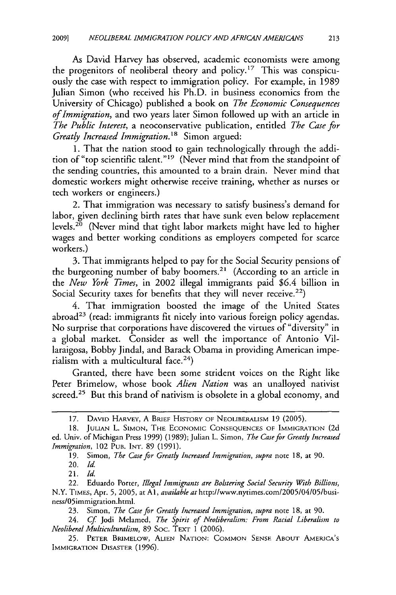As David Harvey has observed, academic economists were among the progenitors of neoliberal theory and policy.<sup>17</sup> This was conspicuously the case with respect to immigration policy. For example, in 1989 Julian Simon (who received his Ph.D. in business economics from the University of Chicago) published a book on *The Economic Consequences of Immigration,* and two years later Simon followed up with an article in *The Public Interest,* a neoconservative publication, entitled *The Case for Greatly Increased Immigration."* Simon argued:

1. That the nation stood to gain technologically through the addition of "top scientific talent."<sup>19</sup> (Never mind that from the standpoint of the sending countries, this amounted to a brain drain. Never mind that domestic workers might otherwise receive training, whether as nurses or tech workers or engineers.)

2. That immigration was necessary to satisfy business's demand for labor, given declining birth rates that have sunk even below replacement levels.<sup>20</sup> (Never mind that tight labor markets might have led to higher wages and better working conditions as employers competed for scarce workers.)

3. That immigrants helped to pay for the Social Security pensions of the burgeoning number of baby boomers.<sup>21</sup> (According to an article in the *New York Times,* in 2002 illegal immigrants paid \$6.4 billion in Social Security taxes for benefits that they will never receive.<sup>22</sup>)

4. That immigration boosted the image of the United States abroad<sup>23</sup> (read: immigrants fit nicely into various foreign policy agendas. No surprise that corporations have discovered the virtues of "diversity" in a global market. Consider as well the importance of Antonio Villaraigosa, Bobby Jindal, and Barack Obama in providing American imperialism with a multicultural face.<sup>24</sup>)

Granted, there have been some strident voices on the Right like Peter Brimelow, whose book *Alien Nation* was an unalloyed nativist screed.<sup>25</sup> But this brand of nativism is obsolete in a global economy, and

21. *Id.*

23. Simon, *The Case for Greatly Increased Immigration, supra* note 18, at 90.

24. *Cf* Jodi Melamed, *The Spirit of Neoliberalism: From Racial Liberalism to Neoliberal Multiculturalism,* 89 Soc. TExT 1 (2006).

**25.** PETER BRIMELOW, **ALIEN NATION: COMMON SENSE ABOUT AMERICA'S** IMMIGRATION **DISASTER** (1996).

<sup>17.</sup> **DAVID** HARVEY, A BRIEF HISTORY OF NEOLIBERALISM 19 (2005).

<sup>18.</sup> **JULLAN** L. **SIMON,** THE **ECONOMIC CONSEQUENCES** OF IMMIGRATION (2d ed. Univ. of Michigan Press 1999) (1989); Julian L. Simon, *The Case for Greatly Increased Immigration,* 102 PUB. **INT.** 89 (1991).

**<sup>19.</sup>** Simon, *The Case for Greatly Increased Immigration, supra* note **18,** at **90.**

**<sup>20.</sup>** *Id.*

<sup>22.</sup> Eduardo Porter, *Illegal Immigrants are Bolstering Social Security With Billions,* N.Y. TIMES, Apr. **5, 2005,** at **Al,** *available at http://www.nytimes.com/2005/04/05/busi*ness/05immigration.html.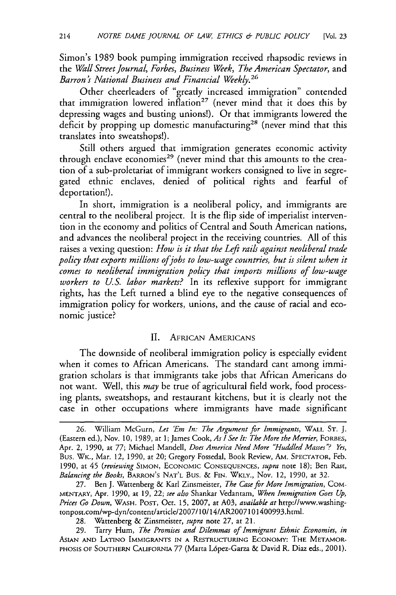Simon's 1989 book pumping immigration received rhapsodic reviews in the *Wall Street Journal, Forbes, Business Week, The American Spectator, and* Barron's National Business and Financial Weekly.<sup>26</sup>

Other cheerleaders of "greatly increased immigration" contended that immigration lowered inflation<sup>27</sup> (never mind that it does this by depressing wages and busting unions!). Or that immigrants lowered the deficit by propping up domestic manufacturing<sup>28</sup> (never mind that this translates into sweatshops!).

Still others argued that immigration generates economic activity through enclave economies<sup>29</sup> (never mind that this amounts to the creation of a sub-proletariat of immigrant workers consigned to live in segregated ethnic enclaves, denied of political rights and fearful of deportation!).

In short, immigration is a neoliberal policy, and immigrants are central to the neoliberal project. It is the flip side of imperialist intervention in the economy and politics of Central and South American nations, and advances the neoliberal project in the receiving countries. All of this raises a vexing question: *How is it that the Left rails against neoliberal trade policy that exports millions ofjobs to low-wage countries, but is silent when it comes to neoliberal immigration policy that imports millions of low-wage workers to U.S. labor markets?* In its reflexive support for immigrant rights, has the Left turned a blind eye to the negative consequences of immigration policy for workers, unions, and the cause of racial and economic justice?

#### II. AFRICAN AMERICANS

The downside of neoliberal immigration policy is especially evident when it comes to African Americans. The standard cant among immigration scholars is that immigrants take jobs that African Americans do not want. Well, this *may* be true of agricultural field work, food processing plants, sweatshops, and restaurant kitchens, but it is clearly not the case in other occupations where immigrants have made significant

<sup>26.</sup> William McGurn, *Let 'Em In: The Argument for Immigrants,* WALL ST. J. (Eastern ed.), Nov. **10,** 1989, at **1;** James Cook, *As ISee It: The More the Merrier,* FORBES, Apr. 2, **1990,** at **77;** Michael Mandell, *Does America Need More "Huddled Masses'? Yes,* Bus. WK., Mar. 12, 1990, at 20; Gregory Fossedal, Book Review, AM. SPECTATOR, Feb. 1990, at 45 *(reviewing* **SIMON,** ECONOMIC **CONSEQUENCES,** *supra* note 18); Ben Rast, *Balancing the Books,* BARRON'S **NAT'L** Bus. & FIN. WKLY., Nov. 12, 1990, at 32.

<sup>27.</sup> Ben J. Wattenberg & Karl Zinsmeister, *The Case for More Immigration,* COM-MENTARY, Apr. 1990, at 19, 22; *see also* Shankar Vedantam, *When Immigration Goes Up, Prices Go Down,* WASH. **POST,** Oct. **15,** 2007, at A03, *available at* http://www.washingtonpost.com/wp-dyn/content/article/2007/10/14/AR2007101400993.html.

<sup>28.</sup> Wattenberg & Zinsmeister, *supra* note **27,** at 21.

<sup>29.</sup> Tarry Hum, *The Promises and Dilemmas of Immigrant Ethnic Economies, in* ASIAN **AND LATINO IMMIGRANTS IN A RESTRUCTURING** ECONOMY: **THE METAMOR-PHOSIS** OF **SOUTHERN** CALIFORNIA 77 (Marta L6pez-Garza & David R. Diaz eds., 2001).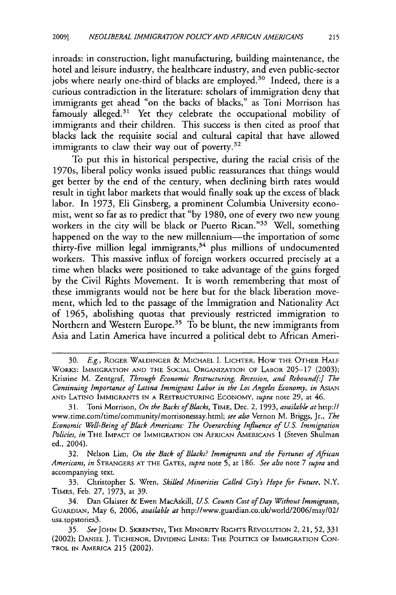inroads: in construction, light manufacturing, building maintenance, the hotel and leisure industry, the healthcare industry, and even public-sector jobs where nearly one-third of blacks are employed.<sup>30</sup> Indeed, there is a curious contradiction in the literature: scholars of immigration deny that immigrants get ahead "on the backs of blacks," as Toni Morrison has famously alleged.<sup>31</sup> Yet they celebrate the occupational mobility of immigrants and their children. This success is then cited as proof that blacks lack the requisite social and cultural capital that have allowed immigrants to claw their way out of poverty.<sup>32</sup>

To put this in historical perspective, during the racial crisis of the 1970s, liberal policy wonks issued public reassurances that things would get better by the end of the century, when declining birth rates would result in tight labor markets that would finally soak up the excess of black labor. In 1973, Eli Ginsberg, a prominent Columbia University economist, went so far as to predict that "by 1980, one of every two new young workers in the city will be black or Puerto Rican."<sup>33</sup> Well, something happened on the way to the new millennium-the importation of some thirty-five million legal immigrants, $34$  plus millions of undocumented workers. This massive influx of foreign workers occurred precisely at a time when blacks were positioned to take advantage of the gains forged by the Civil Rights Movement. It is worth remembering that most of these immigrants would not be here but for the black liberation movement, which led to the passage of the Immigration and Nationality Act of 1965, abolishing quotas that previously restricted immigration to Northern and Western Europe.<sup>35</sup> To be blunt, the new immigrants from Asia and Latin America have incurred a political debt to African Ameri-

**<sup>30.</sup>** *E.g.,* ROGER WALDINGER & MICHAEL **I.** LICHTER, How THE OTHER HALF WORKS: IMMIGRATION AND THE SOCIAL ORGANIZATION OF LABOR 205-17 (2003); Kristine M. Zentgraf, *Through Economic Restructuring, Recession, and Rebound[-] The Continuing Importance of Latina Immigrant Labor in the Los Angeles Economy, in ASIAN* AND LATINO IMMIGRANTS IN A RESTRUCTURING ECONOMY, *supra* note 29, at 46.

<sup>31.</sup> Toni Morrison, *On the Backs of Blacks,* TIME, Dec. 2, **1993,** *available at* http:// www.time.com/time/community/morrisonessay.html; *see also* Vernon M. Briggs, Jr., *The Economic Well-Being of Black Americans: The Overarching Influence of* **U.S.** *Immigration Policies, in* THE IMPACT OF IMMIGRATION ON AFRICAN AMERICANS 1 (Steven Shulman ed., 2004).

<sup>32.</sup> Nelson Lim, *On the Back of Blacks? Immigrants and the Fortunes of African Americans, in* STRANGERS AT THE GATES, *supra* note **5,** at 186. *See also* note 7 *supra* and accompanying text.

<sup>33.</sup> Christopher S. Wren, *Skilled Minorities Called City's Hope for Future,* N.Y. TIMES, Feb. **27,** 1973, at 39.

<sup>34.</sup> Dan Glaister & Ewen MacAskill, *US. Counts Cost of Day Without Immigrants,* GUARDIAN, May **6, 2006,** *available at* http://www.guardian.co.uk/world/2006/may/02/ usa.topstories3.

**<sup>35.</sup>** *See* JOHN D. SKRENTNY, THE MINORITY RIGHTS REVOLUTION 2, 21, **52,** 331 (2002); DANIEL J. TICHENOR, DIVIDING LINES: THE POLITICS OF IMMIGRATION CON-TROL IN AMERICA **215** (2002).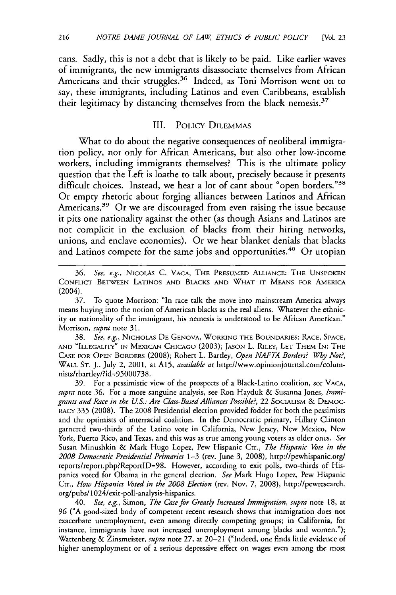cans. Sadly, this is not a debt that is likely to be paid. Like earlier waves of immigrants, the new immigrants disassociate themselves from African Americans and their struggles.<sup>36</sup> Indeed, as Toni Morrison went on to say, these immigrants, including Latinos and even Caribbeans, establish their legitimacy by distancing themselves from the black nemesis.<sup>37</sup>

#### III. POLICY DILEMMAS

What to do about the negative consequences of neoliberal immigration policy, not only for African Americans, but also other low-income workers, including immigrants themselves? This is the ultimate policy question that the Left is loathe to talk about, precisely because it presents difficult choices. Instead, we hear a lot of cant about "open borders."<sup>38</sup> Or empty rhetoric about forging alliances between Latinos and African Americans.<sup>39</sup> Or we are discouraged from even raising the issue because it pits one nationality against the other (as though Asians and Latinos are not complicit in the exclusion of blacks from their hiring networks, unions, and enclave economies). Or we hear blanket denials that blacks and Latinos compete for the same jobs and opportunities.<sup>40</sup> Or utopiar

36. *See, e.g.,* NICOLAS C. VAcA, THE PRESUMED ALLIANCE: THE UNSPOKEN CONFLICT BETWEEN LATINOS AND BLACKS AND WHAT IT MEANS FOR AMERICA (2004).

37. To quote Morrison: "In race talk the move into mainstream America always means buying into the notion of American blacks as the real aliens. Whatever the ethnicity or nationality of the immigrant, his nemesis is understood to be African American." Morrison, *supra* note 31.

38. *See, e.g.,* NICHOLAS DE GENOVA, WORKING THE BOUNDARIES: RACE, SPACE, AND "ILLEGALITY" IN MEXICAN CHICAGO (2003); JASON L. RILEY, LET THEM **IN:** THE CASE FOR OPEN BORDERS (2008); Robert L. Bartley, *Open NAFTA Borders? Why Not?,* WALL ST. **J.,** July 2, 2001, at A15, *available at* http://www.opinionjournal.com/columnists/rbartley/?id=95000738.

**39.** For a pessimistic view of the prospects of a Black-Latino coalition, see VACA, *supra* note 36. For a more sanguine analysis, see Ron Hayduk & Susanna Jones, *Immigrants and Race in the U.S.: Are Class-Based Alliances Possible?,* 22 SOCIALISM & DEMOC-RACY **335** (2008). The 2008 Presidential election provided fodder for both the pessimists and the optimists of interracial coalition. In the Democratic primary, Hillary Clinton garnered two-thirds of the Latino vote in California, New Jersey, New Mexico, New York, Puerto Rico, and Texas, and this was as true among young voters as older ones. *See* Susan Minushkin & Mark Hugo Lopez, Pew Hispanic Ctr., *The Hispanic Vote in the 2008 Democratic Presidential Primaries* 1-3 (rev. June **3,** 2008), http://pewhispanic.org/ reports/report.php?ReportID=98. However, according to exit polls, two-thirds of Hispanics voted for Obama in the general election. *See* Mark Hugo Lopez, Pew Hispanic Ctr., *How Hispanics Voted in the 2008 Election* (rev. Nov. **7,** 2008), http://pewresearch. org/pubs/ 1 024/exit-poll-analysis-hispanics.

40. *See, e.g.,* Simon, *The Case for Greatly Increased Immigration, supra* note 18, at **96** ("A good-sized body of competent recent research shows that immigration does not exacerbate unemployment, even among directly competing groups; in California, for instance, immigrants have not increased unemployment among blacks and women."); Wattenberg & Zinsmeister, *supra* note **27,** at 20-21 ("Indeed, one finds little evidence of higher unemployment or of a serious depressive effect on wages even among the most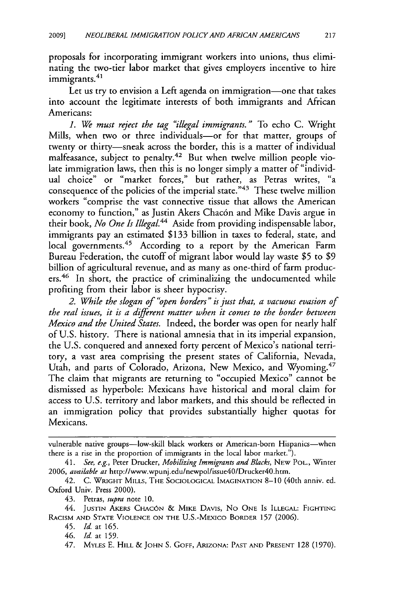proposals for incorporating immigrant workers into unions, thus eliminating the two-tier labor market that gives employers incentive to hire mating the two

Let us try to envision a Left agenda on immigration-one that takes into account the legitimate interests of both immigrants and African Americans:

*1. We must reject the tag "illegal immigrants. "* To echo C. Wright Mills, when two or three individuals-or for that matter, groups of twenty or thirty-sneak across the border, this is a matter of individual malfeasance, subject to penalty.42 But when twelve million people violate immigration laws, then this is no longer simply a matter of "individual choice" or "market forces," but rather, as Petras writes, "a consequence of the policies of the imperial state."43 These twelve million workers "comprise the vast connective tissue that allows the American economy to function," as Justin Akers Chacón and Mike Davis argue in their book, *No One Is IllegaL4 <sup>4</sup>*Aside from providing indispensable labor, immigrants pay an estimated \$133 billion in taxes to federal, state, and local governments.<sup>45</sup> According to a report by the American Farm Bureau Federation, the cutoff of migrant labor would lay waste **\$5** to \$9 billion of agricultural revenue, and as many as one-third of farm producers.<sup>46</sup> In short, the practice of criminalizing the undocumented while profiting from their labor is sheer hypocrisy.

*2. While the slogan of "open borders" is just that, a vacuous evasion of the real issues, it is a different matter when it comes to the border between Mexico and the United States.* Indeed, the border was open for nearly half of U.S. history. There is national amnesia that in its imperial expansion, the U.S. conquered and annexed forty percent of Mexico's national territory, a vast area comprising the present states of California, Nevada, Utah, and parts of Colorado, Arizona, New Mexico, and Wyoming. <sup>47</sup> The claim that migrants are returning to "occupied Mexico" cannot be dismissed as hyperbole: Mexicans have historical and moral claim for access to U.S. territory and labor markets, and this should be reflected in an immigration policy that provides substantially higher quotas for Mexicans.

44. JUSTIN AKERS **CHACON** & MIKE DAVIS, No **ONE** IS **ILLEGAL:** FIGHTING RACISM AND STATE VIOLENCE ON THE U.S.-MEXICO BORDER 157 (2006).

vulnerable native groups-low-skill black workers or American-born Hispanics-when there is a rise in the proportion of immigrants in the local labor market.").

*<sup>41.</sup> See, e.g.,* Peter Drucker, *Mobilizing Immigrants and Blacks,* NEW POL., Winter **2006,** *available at* http://www.wpunj.edu/newpol/issue40/Drucker4O.htm.

<sup>42.</sup> C. WRIGHT MILLS, THE **SOCIOLOGICAL** IMAGINATION 8-10 (40th anniv. ed. Oxford Univ. Press 2000).

<sup>43.</sup> Petras, *supra* note 10.

<sup>45.</sup> *Id.* at 165.

<sup>46.</sup> *Id.* **at** 159.

<sup>47.</sup> MYLES E. HILL & **JOHN** S. **GOFF, ARIZONA: PAST AND PRESENT** 128 (1970).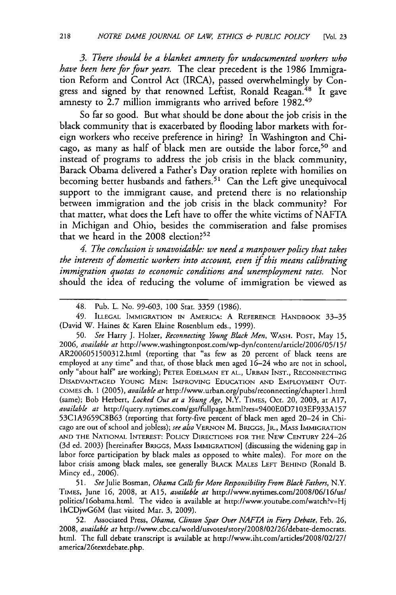*3. There should be a blanket amnesty for undocumented workers who have been here for four years.* The clear precedent is the 1986 Immigration Reform and Control Act (IRCA), passed overwhelmingly by Congress and signed by that renowned Leftist, Ronald Reagan.<sup>48</sup> It gave amnesty to 2.7 million immigrants who arrived before 1982.<sup>49</sup>

So far so good. But what should be done about the job crisis in the black community that is exacerbated by flooding labor markets with foreign workers who receive preference in hiring? In Washington and Chicago, as many as half of black men are outside the labor force,<sup>50</sup> and instead of programs to address the job crisis in the black community, Barack Obama delivered a Father's Day oration replete with homilies on becoming better husbands and fathers.<sup>51</sup> Can the Left give unequivocal support to the immigrant cause, and pretend there is no relationship between immigration and the job crisis in the black community? For that matter, what does the Left have to offer the white victims of NAFTA in Michigan and Ohio, besides the commiseration and false promises that we heard in the  $2008$  election?<sup>52</sup>

*4. The conclusion is unavoidable: we need a manpower policy that takes the interests of domestic workers into account, even if this means calibrating immigration quotas to economic conditions and unemployment rates.* Nor should the idea of reducing the volume of immigration be viewed as

*49.* ILLEGAL IMMIGRATION IN AMERICA: A REFERENCE HANDBOOK 33-35 (David W. Haines & Karen Elaine Rosenblum eds., 1999).

**50.** *See* Harry J. Holzer, *Reconnecting Young Black Men,* WASH. POST, May **15,** 2006, *available* at http://www.washingtonpost.com/wp-dyn/content/article/2006/05/15/ AR2006051500312.html (reporting that "as few as 20 percent of black teens are employed at any time" and that, of those black men aged 16-24 who are not in school, only "about half' are working); PETER EDELMAN ET AL., URBAN INST., RECONNECTING DISADVANTAGED YOUNG MEN: IMPROVING EDUCATION AND EMPLOYMENT OUT-COMES ch. 1 (2005), *available at* http://www.urban.org/pubs/reconnecting/chapterl.html (same); Bob Herbert, *Locked Out at a Young Age,* N.Y. TIMES, Oct. 20, 2003, at A17, *available at* http://query.nytimes.com/gst/fullpage.html?res=9400EOD7103EF933A157 53C1A9659C8B63 (reporting that forty-five percent of black men aged 20-24 in Chicago are out of school and jobless); *see also* VERNON M. BRIGGS, JR., MASS IMMIGRATION AND THE NATIONAL INTEREST: POLICY DIRECTIONS FOR THE NEW CENTURY 224-26 (3d ed. 2003) [hereinafter BRIGGS, MASS IMMIGRATION] (discussing the widening gap in labor force participation by black males as opposed to white males). For more on the labor crisis among black males, see generally BLACK **MALES** LEFT BEHIND (Ronald B. Mincy ed., 2006).

*51. See* Julie Bosman, *Obama Calls for More Responsibility From Black Fathers,* N.Y. TIMES, June **16,** 2008, at **A15,** *available at* http://www.nytimes.com/2008/06/16/us/ politics/1 6obama.html. The video is available at http://www.youtube.com/watch?v=Hj lhCDjwG6M (last visited Mar. **3,** 2009).

**52.** Associated Press, *Obama, Clinton Spar Over NAFTA in Fiery Debate,* Feb. **26, 2008,** *available at* http://www.cbc.ca/world/usvotes/story/2008/02/26/debate-democrats. html. The full debate transcript is available at http://www.iht.com/articles/2008/02/27/ america/26textdebate.php.

<sup>48.</sup> Pub. L. No. 99-603, 100 Stat. **3359** (1986).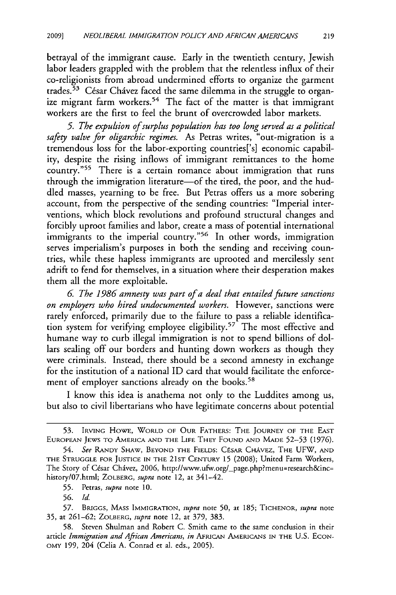betrayal of the immigrant cause. Early in the twentieth century, Jewish labor leaders grappled with the problem that the relentless influx of their co-religionists from abroad undermined efforts to organize the garment trades.<sup>53</sup> César Chávez faced the same dilemma in the struggle to organize migrant farm workers.<sup>54</sup> The fact of the matter is that immigrant workers are the first to feel the brunt of overcrowded labor markets.

*5. The expulsion of surplus population has too long served as a political safety valve for oligarchic regimes.* As Petras writes, "out-migration is a tremendous loss for the labor-exporting countries['s] economic capability, despite the rising inflows of immigrant remittances to the home country."<sup>55</sup> There is a certain romance about immigration that runs through the immigration literature—of the tired, the poor, and the huddled masses, yearning to be free. But Petras offers us a more sobering account, from the perspective of the sending countries: "Imperial interventions, which block revolutions and profound structural changes and forcibly uproot families and labor, create a mass of potential international immigrants to the imperial country."<sup>56</sup> In other words, immigration serves imperialism's purposes in both the sending and receiving countries, while these hapless immigrants are uprooted and mercilessly sent adrift to fend for themselves, in a situation where their desperation makes them all the more exploitable.

**6.** *The 1986 amnesty was part of a deal that entailed future sanctions on employers who hired undocumented workers.* However, sanctions were rarely enforced, primarily due to the failure to pass a reliable identification system for verifying employee eligibility.<sup>57</sup> The most effective and humane way to curb illegal immigration is not to spend billions of dollars sealing off our borders and hunting down workers as though they were criminals. Instead, there should be a second amnesty in exchange for the institution of a national ID card that would facilitate the enforcement of employer sanctions already on the books.<sup>58</sup>

I know this idea is anathema not only to the Luddites among us, but also to civil libertarians who have legitimate concerns about potential

**57.** BRIGGS, **MASS** IMMIGRATION, *supra* note **50,** at **185;** TICHENOR, *supra* note **35,** at 261-62; ZOLBERG, *supra* note 12, at 379, 383.

**58.** Steven Shulman and Robert C. Smith came to the same conclusion in their article *Immigration and African Americans, in* AFRICAN AMERICANS IN THE U.S. ECON-OMY 199, 204 (Celia A. Conrad et a]. eds., 2005).

**<sup>53.</sup>** IRVING HOWE, WORLD OF **OUR** FATHERS: THE **JOURNEY** OF THE **EAST** EUROPEAN JEWS TO AMERICA **AND** THE **LIFE** THEY **FOUND AND MADE 52-53** (1976).

<sup>54.</sup> *See* RANDY SHAw, BEYOND THE FIELDS: CPSAR CHAVEZ, THE **UFW, AND** THE **STRUGGLE** FOR **JUSTICE IN** THE **21ST CENTURY 15** (2008); United Farm Workers, The Story of César Chávez, 2006, http://www.ufw.org/\_page.php?menu=research&inc= history/07.html; ZOLBERG, *supra* note 12, at 341-42.

**<sup>55.</sup>** Petras, *supra* note **10.**

**<sup>56.</sup>** *Id.*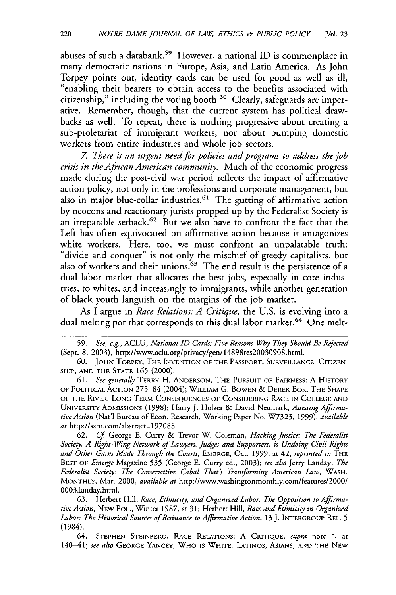abuses of such a databank.<sup>59</sup> However, a national ID is commonplace in many democratic nations in Europe, Asia, and Latin America. As John Torpey points out, identity cards can be used for good as well as ill, "enabling their bearers to obtain access to the benefits associated with citizenship," including the voting booth.60 Clearly, safeguards are imperative. Remember, though, that the current system has political drawbacks as well. To repeat, there is nothing progressive about creating a sub-proletariat of immigrant workers, nor about bumping domestic workers from entire industries and whole job sectors.

*7. There is an urgent need for policies and programs to address the job crisis in the African American community.* Much of the economic progress made during the post-civil war period reflects the impact of affirmative action policy, not only in the professions and corporate management, but also in major blue-collar industries.<sup>61</sup> The gutting of affirmative action by neocons and reactionary jurists propped up by the Federalist Society is an irreparable setback.<sup>62</sup> But we also have to confront the fact that the Left has often equivocated on affirmative action because it antagonizes white workers. Here, too, we must confront an unpalatable truth: "divide and conquer" is not only the mischief of greedy capitalists, but also of workers and their unions.<sup>63</sup> The end result is the persistence of a dual labor market that allocates the best jobs, especially in core industries, to whites, and increasingly to immigrants, while another generation of black youth languish on the margins of the job market.

As I argue in *Race Relations: A Critique,* the U.S. is evolving into a dual melting pot that corresponds to this dual labor market.<sup>64</sup> One melt-

61. *See generally* TERRY H. ANDERSON, THE PURSUIT OF FAIRNESS: A HISTORY OF POLITICAL ACTION 275-84 (2004); WILLIAM **G.** BOWEN & DEREK BOK, THE SHAPE OF THE RIVER: LONG TERM CONSEQUENCES OF CONSIDERING RACE IN COLLEGE AND UNIVERSITY ADMISSIONS (1998); Harry **J.** Holzer & David Neumark, *Assessing Affirmative Action* (Nat'l Bureau of Econ. Research, Working Paper No. W7323, 1999), *available at* http://ssrn.com/abstract= 197088.

**62.** *Cf* George **E.** Curry & Trevor W. Coleman, *Hacking Justice: The Federalist Society, A Right-Wing Network of Lauyers, Judges and Supporters, is Undoing Civil Rights and Other Gains Made Through the Courts,* EMERGE, Oct. 1999, at 42, *reprinted in* THE BEST OF *Emerge* Magazine **535** (George E. Curry ed., 2003); *see also* Jerry Landay, *The Federalist Society: The Conservative Cabal That's Transforming American Law,* WASH. MONTHLY, Mar. 2000, *available at* http://www.washingtonmonthly.com/features/2000/ 0003.landay.html.

**63.** Herbert Hill, *Race, Ethnicity, and Organized Labor: The Opposition to Affirmative Action,* NEW POL., Winter 1987, at **31;** Herbert Hill, *Race and Ethnicity in Organized Labor: The Historical Sources of Resistance to Affirmative Action,* 13 J. INTERGROUP REL. **5** (1984).

64. STEPHEN STEINBERG, RACE RELATIONS: A CRITIQUE, *supra* note **\*,** at 140-41; *see also* GEORGE YANCEY, WHO IS WHITE: LATINOS, ASIANS, AND THE NEW

**<sup>59.</sup>** *See, e.g.,* ACLU, *National ID Cards: Five Reasons Why They Should Be Rejected* (Sept. **8,** 2003), http://www.aclu.org/privacy/gen/14898res20030908.html.

<sup>60.</sup> JOHN TORPEY, THE INVENTION OF THE PASSPORT: SURVEILLANCE, CITIZEN-SHIP, AND THE STATE **165** (2000).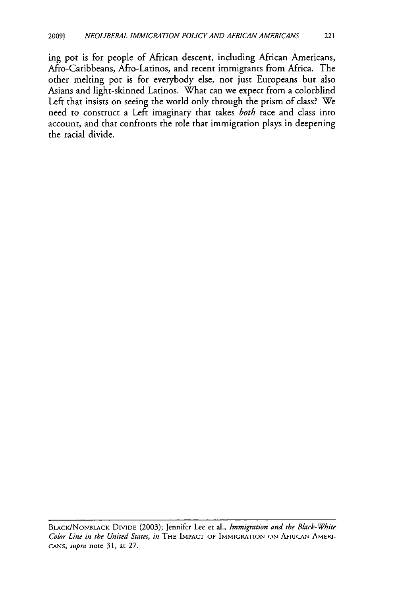ing pot is for people of African descent, including African Americans, Afro-Caribbeans, Afro-Latinos, and recent immigrants from Africa. The other melting pot is for everybody else, not just Europeans but also Asians and light-skinned Latinos. What can we expect from a colorblind Left that insists on seeing the world only through the prism of class? We need to construct a Left imaginary that takes *both* race and class into account, and that confronts the role that immigration plays in deepening the racial divide.

BLACK/NONBLACK DIVIDE (2003); Jennifer Lee et al., *Immigration and the Black-White Color Line in the United States, in* THE **IMPACT** OF IMMIGRATION **ON** AFRICAN AMERI*cANs, supra* note 31, at **27.**